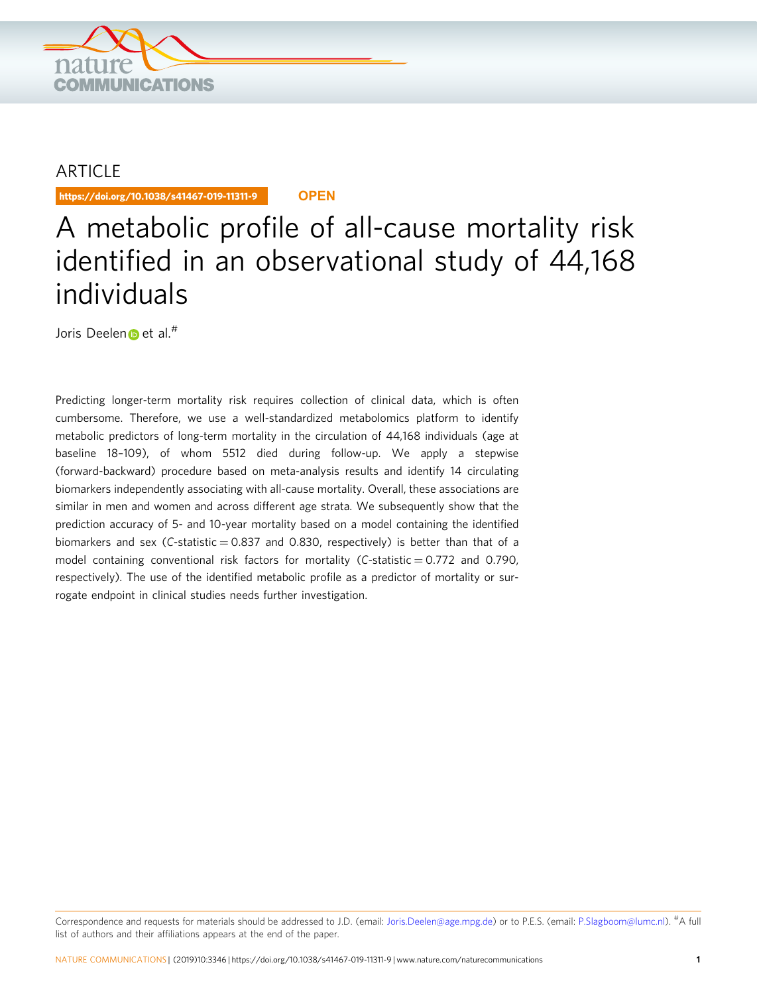

# ARTICLE

https://doi.org/10.1038/s41467-019-11311-9 **OPEN**

# A metabolic profile of all-cause mortality risk identified in an observational study of 44,168 individuals

Joris Deele[n](http://orcid.org/0000-0003-4483-3701) et al.<sup>#</sup>

Predicting longer-term mortality risk requires collection of clinical data, which is often cumbersome. Therefore, we use a well-standardized metabolomics platform to identify metabolic predictors of long-term mortality in the circulation of 44,168 individuals (age at baseline 18–109), of whom 5512 died during follow-up. We apply a stepwise (forward-backward) procedure based on meta-analysis results and identify 14 circulating biomarkers independently associating with all-cause mortality. Overall, these associations are similar in men and women and across different age strata. We subsequently show that the prediction accuracy of 5- and 10-year mortality based on a model containing the identified biomarkers and sex (C-statistic =  $0.837$  and  $0.830$ , respectively) is better than that of a model containing conventional risk factors for mortality (C-statistic  $= 0.772$  and 0.790, respectively). The use of the identified metabolic profile as a predictor of mortality or surrogate endpoint in clinical studies needs further investigation.

Correspondence and requests for materials should be addressed to J.D. (email: [Joris.Deelen@age.mpg.de\)](mailto:Joris.Deelen@age.mpg.de) or to P.E.S. (email: [P.Slagboom@lumc.nl](mailto:P.Slagboom@lumc.nl)). <sup>#</sup>A full list of authors and their affiliations appears at the end of the paper.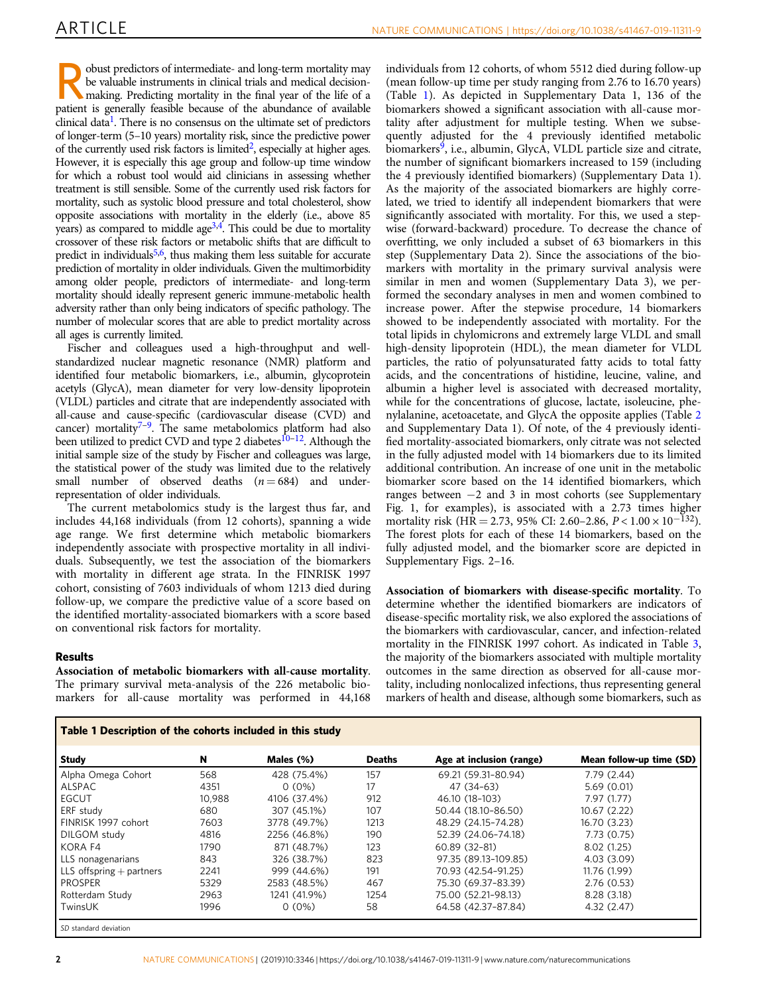<span id="page-1-0"></span>Folioust predictors of intermediate- and long-term mortality may<br>be valuable instruments in clinical trials and medical decision-<br>making. Predicting mortality in the final year of the life of a<br>miliont is graphly facility be valuable instruments in clinical trials and medical decisionpatient is generally feasible because of the abundance of available clinical data<sup>1</sup>. There is no consensus on the ultimate set of predictors of longer-term (5–10 years) mortality risk, since the predictive power of the currently used risk factors is limited<sup>2</sup>, especially at higher ages. However, it is especially this age group and follow-up time window for which a robust tool would aid clinicians in assessing whether treatment is still sensible. Some of the currently used risk factors for mortality, such as systolic blood pressure and total cholesterol, show opposite associations with mortality in the elderly (i.e., above 85 years) as compared to middle age<sup>3,4</sup>. This could be due to mortality crossover of these risk factors or metabolic shifts that are difficult to predict in individuals<sup>5,6</sup>, thus making them less suitable for accurate prediction of mortality in older individuals. Given the multimorbidity among older people, predictors of intermediate- and long-term mortality should ideally represent generic immune-metabolic health adversity rather than only being indicators of specific pathology. The number of molecular scores that are able to predict mortality across all ages is currently limited.

Fischer and colleagues used a high-throughput and wellstandardized nuclear magnetic resonance (NMR) platform and identified four metabolic biomarkers, i.e., albumin, glycoprotein acetyls (GlycA), mean diameter for very low-density lipoprotein (VLDL) particles and citrate that are independently associated with all-cause and cause-specific (cardiovascular disease (CVD) and cancer) mortality<sup>7-[9](#page-5-0)</sup>. The same metabolomics platform had also been utilized to predict CVD and type 2 diabetes $10-12$ . Although the initial sample size of the study by Fischer and colleagues was large, the statistical power of the study was limited due to the relatively small number of observed deaths  $(n = 684)$  and underrepresentation of older individuals.

The current metabolomics study is the largest thus far, and includes 44,168 individuals (from 12 cohorts), spanning a wide age range. We first determine which metabolic biomarkers independently associate with prospective mortality in all individuals. Subsequently, we test the association of the biomarkers with mortality in different age strata. In the FINRISK 1997 cohort, consisting of 7603 individuals of whom 1213 died during follow-up, we compare the predictive value of a score based on the identified mortality-associated biomarkers with a score based on conventional risk factors for mortality.

# Results

Association of metabolic biomarkers with all-cause mortality. The primary survival meta-analysis of the 226 metabolic biomarkers for all-cause mortality was performed in 44,168

 $\mid$  Table 1 Description of the cohorts included in this study

individuals from 12 cohorts, of whom 5512 died during follow-up (mean follow-up time per study ranging from 2.76 to 16.70 years) (Table 1). As depicted in Supplementary Data 1, 136 of the biomarkers showed a significant association with all-cause mortality after adjustment for multiple testing. When we subsequently adjusted for the 4 previously identified metabolic biomarkers<sup>9</sup>, i.e., albumin, GlycA, VLDL particle size and citrate, the number of significant biomarkers increased to 159 (including the 4 previously identified biomarkers) (Supplementary Data 1). As the majority of the associated biomarkers are highly correlated, we tried to identify all independent biomarkers that were significantly associated with mortality. For this, we used a stepwise (forward-backward) procedure. To decrease the chance of overfitting, we only included a subset of 63 biomarkers in this step (Supplementary Data 2). Since the associations of the biomarkers with mortality in the primary survival analysis were similar in men and women (Supplementary Data 3), we performed the secondary analyses in men and women combined to increase power. After the stepwise procedure, 14 biomarkers showed to be independently associated with mortality. For the total lipids in chylomicrons and extremely large VLDL and small high-density lipoprotein (HDL), the mean diameter for VLDL particles, the ratio of polyunsaturated fatty acids to total fatty acids, and the concentrations of histidine, leucine, valine, and albumin a higher level is associated with decreased mortality, while for the concentrations of glucose, lactate, isoleucine, phenylalanine, acetoacetate, and GlycA the opposite applies (Table [2](#page-2-0) and Supplementary Data 1). Of note, of the 4 previously identified mortality-associated biomarkers, only citrate was not selected in the fully adjusted model with 14 biomarkers due to its limited additional contribution. An increase of one unit in the metabolic biomarker score based on the 14 identified biomarkers, which ranges between  $-2$  and 3 in most cohorts (see Supplementary Fig. 1, for examples), is associated with a 2.73 times higher mortality risk (HR = 2.73, 95% CI: 2.60–2.86,  $P < 1.00 \times 10^{-132}$ ). The forest plots for each of these 14 biomarkers, based on the fully adjusted model, and the biomarker score are depicted in Supplementary Figs. 2–16.

Association of biomarkers with disease-specific mortality. To determine whether the identified biomarkers are indicators of disease-specific mortality risk, we also explored the associations of the biomarkers with cardiovascular, cancer, and infection-related mortality in the FINRISK 1997 cohort. As indicated in Table [3,](#page-2-0) the majority of the biomarkers associated with multiple mortality outcomes in the same direction as observed for all-cause mortality, including nonlocalized infections, thus representing general markers of health and disease, although some biomarkers, such as

| <b>Study</b>               | N      | Males (%)    | <b>Deaths</b> | Age at inclusion (range) | Mean follow-up time (SD) |
|----------------------------|--------|--------------|---------------|--------------------------|--------------------------|
| Alpha Omega Cohort         | 568    | 428 (75.4%)  | 157           | 69.21 (59.31-80.94)      | 7.79 (2.44)              |
| ALSPAC                     | 4351   | $0(0\%)$     | 17            | 47 (34-63)               | 5.69(0.01)               |
| <b>EGCUT</b>               | 10.988 | 4106 (37.4%) | 912           | 46.10 (18-103)           | 7.97(1.77)               |
| ERF study                  | 680    | 307 (45.1%)  | 107           | 50.44 (18.10-86.50)      | 10.67 (2.22)             |
| FINRISK 1997 cohort        | 7603   | 3778 (49.7%) | 1213          | 48.29 (24.15-74.28)      | 16.70 (3.23)             |
| DILGOM study               | 4816   | 2256 (46.8%) | 190           | 52.39 (24.06-74.18)      | 7.73(0.75)               |
| KORA F4                    | 1790   | 871 (48.7%)  | 123           | 60.89 (32-81)            | 8.02 (1.25)              |
| LLS nonagenarians          | 843    | 326 (38.7%)  | 823           | 97.35 (89.13-109.85)     | 4.03 (3.09)              |
| LLS offspring $+$ partners | 2241   | 999 (44.6%)  | 191           | 70.93 (42.54-91.25)      | 11.76 (1.99)             |
| <b>PROSPER</b>             | 5329   | 2583 (48.5%) | 467           | 75.30 (69.37-83.39)      | 2.76(0.53)               |
| Rotterdam Study            | 2963   | 1241 (41.9%) | 1254          | 75.00 (52.21-98.13)      | 8.28(3.18)               |
| TwinsUK                    | 1996   | $0(0\%)$     | 58            | 64.58 (42.37-87.84)      | 4.32 (2.47)              |

standard deviation ا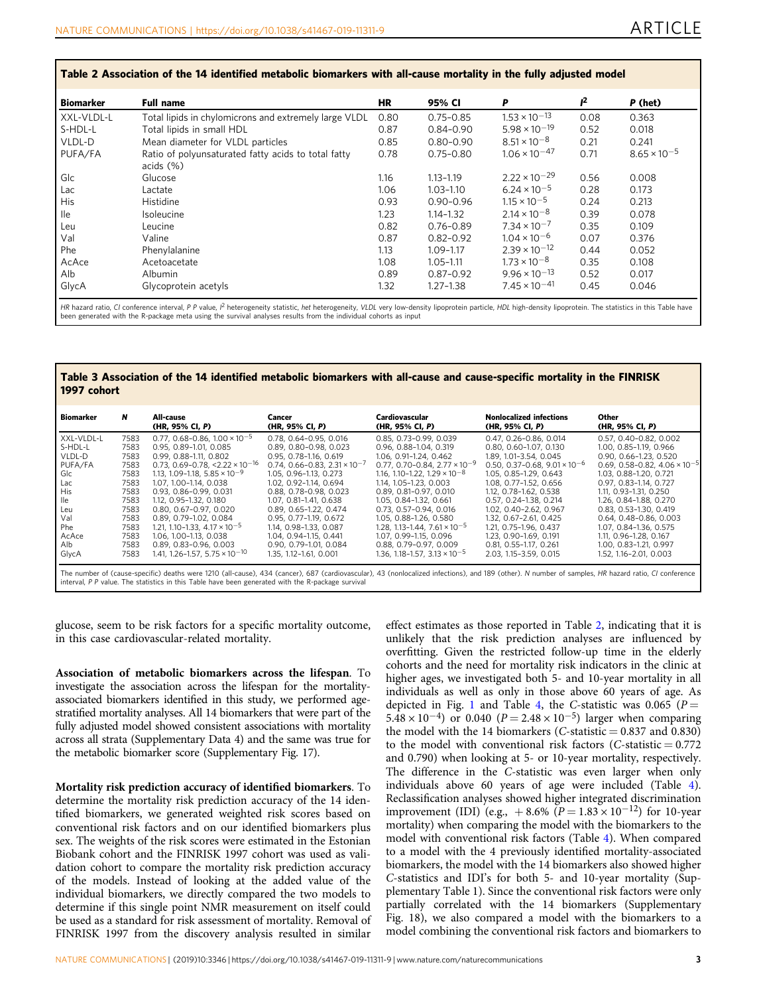| <b>Biomarker</b> | <b>Full name</b>                                                    | <b>HR</b> | 95% CI        | P                      | $I^2$ | P (het)               |
|------------------|---------------------------------------------------------------------|-----------|---------------|------------------------|-------|-----------------------|
| XXL-VLDL-L       | Total lipids in chylomicrons and extremely large VLDL               | 0.80      | $0.75 - 0.85$ | $1.53 \times 10^{-13}$ | 0.08  | 0.363                 |
| S-HDL-L          | Total lipids in small HDL                                           | 0.87      | $0.84 - 0.90$ | $5.98 \times 10^{-19}$ | 0.52  | 0.018                 |
| VLDL-D           | Mean diameter for VLDL particles                                    | 0.85      | $0.80 - 0.90$ | $8.51 \times 10^{-8}$  | 0.21  | 0.241                 |
| PUFA/FA          | Ratio of polyunsaturated fatty acids to total fatty<br>acids $(\%)$ | 0.78      | $0.75 - 0.80$ | $1.06 \times 10^{-47}$ | 0.71  | $8.65 \times 10^{-5}$ |
| Glc              | Glucose                                                             | 1.16      | $1.13 - 1.19$ | $2.22 \times 10^{-29}$ | 0.56  | 0.008                 |
| Lac              | Lactate                                                             | 1.06      | $1.03 - 1.10$ | $6.24 \times 10^{-5}$  | 0.28  | 0.173                 |
| His              | Histidine                                                           | 0.93      | $0.90 - 0.96$ | $1.15 \times 10^{-5}$  | 0.24  | 0.213                 |
| lle              | Isoleucine                                                          | 1.23      | $1.14 - 1.32$ | $2.14 \times 10^{-8}$  | 0.39  | 0.078                 |
| Leu              | Leucine                                                             | 0.82      | $0.76 - 0.89$ | $7.34 \times 10^{-7}$  | 0.35  | 0.109                 |
| Val              | Valine                                                              | 0.87      | $0.82 - 0.92$ | $1.04 \times 10^{-6}$  | 0.07  | 0.376                 |
| Phe              | Phenylalanine                                                       | 1.13      | 1.09-1.17     | $2.39 \times 10^{-12}$ | 0.44  | 0.052                 |
| AcAce            | Acetoacetate                                                        | 1.08      | $1.05 - 1.11$ | $1.73 \times 10^{-8}$  | 0.35  | 0.108                 |
| Alb              | <b>Albumin</b>                                                      | 0.89      | $0.87 - 0.92$ | $9.96 \times 10^{-13}$ | 0.52  | 0.017                 |
| GlycA            | Glycoprotein acetyls                                                | 1.32      | $1.27 - 1.38$ | $7.45 \times 10^{-41}$ | 0.45  | 0.046                 |

<span id="page-2-0"></span>Table 2 Association of the 14 identified metabolic biomarkers with all-cause mortality in the fully adjusted model

HR hazard ratio, CI conference interval, P P value, I<sup>2</sup> heterogeneity statistic, *het* heterogeneity, VLDL very low-density lipoprotein particle, HDL high-density lipoprotein. The statistics in this Table have been generated with the R-package meta using the survival analyses results from the individual cohorts as input

# Table 3 Association of the 14 identified metabolic biomarkers with all-cause and cause-specific mortality in the FINRISK 1997 cohort

| Biomarker                                                                                                                                                                                                                                                                                                | N    | All-cause<br>(HR, 95% CI, P)                            | Cancer<br>(HR, 95% CI, P)              | Cardiovascular<br>(HR, 95% CI, P)               | <b>Nonlocalized infections</b><br>(HR, 95% CI, P) | Other<br>(HR, 95% CI, P)                        |
|----------------------------------------------------------------------------------------------------------------------------------------------------------------------------------------------------------------------------------------------------------------------------------------------------------|------|---------------------------------------------------------|----------------------------------------|-------------------------------------------------|---------------------------------------------------|-------------------------------------------------|
| XXL-VLDL-L                                                                                                                                                                                                                                                                                               | 7583 | 0.77, 0.68-0.86, $1.00 \times 10^{-5}$                  | 0.78, 0.64-0.95, 0.016                 | 0.85, 0.73-0.99, 0.039                          | 0.47, 0.26-0.86, 0.014                            | 0.57, 0.40-0.82, 0.002                          |
| S-HDL-L                                                                                                                                                                                                                                                                                                  | 7583 | 0.95, 0.89-1.01, 0.085                                  | 0.89, 0.80-0.98, 0.023                 | 0.96, 0.88-1.04, 0.319                          | 0.80, 0.60-1.07, 0.130                            | 1.00, 0.85-1.19, 0.966                          |
| VLDL-D                                                                                                                                                                                                                                                                                                   | 7583 | 0.99, 0.88-1.11, 0.802                                  | 0.95, 0.78-1.16, 0.619                 | 1.06. 0.91-1.24. 0.462                          | 1.89, 1.01-3.54, 0.045                            | 0.90, 0.66-1.23, 0.520                          |
| PUFA/FA                                                                                                                                                                                                                                                                                                  | 7583 | 0.73, 0.69-0.78, $\leq$ 2.22 $\times$ 10 <sup>-16</sup> | 0.74, 0.66-0.83, $2.31 \times 10^{-7}$ | 0.77, 0.70-0.84, 2.77 $\times$ 10 <sup>-9</sup> | 0.50, 0.37-0.68, $9.01 \times 10^{-6}$            | 0.69, 0.58-0.82, 4.06 $\times$ 10 <sup>-5</sup> |
| Glc                                                                                                                                                                                                                                                                                                      | 7583 | 1.13, 1.09-1.18, 5.85 $\times$ 10 <sup>-9</sup>         | 1.05, 0.96-1.13, 0.273                 | 1.16, 1.10-1.22, 1.29 $\times$ 10 <sup>-8</sup> | 1.05, 0.85-1.29, 0.643                            | 1.03, 0.88-1.20, 0.721                          |
| Lac                                                                                                                                                                                                                                                                                                      | 7583 | 1.07, 1.00-1.14, 0.038                                  | 1.02, 0.92-1.14, 0.694                 | 1.14, 1.05-1.23, 0.003                          | 1.08, 0.77-1.52, 0.656                            | 0.97, 0.83-1.14, 0.727                          |
| <b>His</b>                                                                                                                                                                                                                                                                                               | 7583 | 0.93, 0.86-0.99, 0.031                                  | 0.88, 0.78-0.98, 0.023                 | $0.89, 0.81 - 0.97, 0.010$                      | 1.12, 0.78-1.62, 0.538                            | 1.11, 0.93-1.31, 0.250                          |
| lle.                                                                                                                                                                                                                                                                                                     | 7583 | 1.12, 0.95-1.32, 0.180                                  | 1.07, 0.81-1.41, 0.638                 | 1.05, 0.84-1.32, 0.661                          | 0.57, 0.24-1.38, 0.214                            | 1.26, 0.84-1.88, 0.270                          |
| Leu                                                                                                                                                                                                                                                                                                      | 7583 | 0.80, 0.67-0.97, 0.020                                  | 0.89, 0.65-1.22, 0.474                 | 0.73, 0.57-0.94, 0.016                          | 1.02, 0.40-2.62, 0.967                            | 0.83, 0.53-1.30, 0.419                          |
| Val                                                                                                                                                                                                                                                                                                      | 7583 | 0.89, 0.79-1.02, 0.084                                  | 0.95, 0.77-1.19, 0.672                 | 1.05, 0.88-1.26, 0.580                          | 1.32, 0.67-2.61, 0.425                            | 0.64, 0.48-0.86, 0.003                          |
| Phe.                                                                                                                                                                                                                                                                                                     | 7583 | 1.21, 1.10-1.33, $4.17 \times 10^{-5}$                  | 1.14, 0.98-1.33, 0.087                 | 1.28, 1.13-1.44, 7.61 $\times$ 10 <sup>-5</sup> | 1.21, 0.75-1.96, 0.437                            | 1.07, 0.84-1.36, 0.575                          |
| AcAce                                                                                                                                                                                                                                                                                                    | 7583 | 1.06, 1.00-1.13, 0.038                                  | 1.04, 0.94-1.15, 0.441                 | 1.07, 0.99-1.15, 0.096                          | 1.23, 0.90-1.69, 0.191                            | 1.11, 0.96-1.28, 0.167                          |
| Alb                                                                                                                                                                                                                                                                                                      | 7583 | 0.89, 0.83-0.96, 0.003                                  | 0.90, 0.79-1.01, 0.084                 | 0.88, 0.79-0.97, 0.009                          | 0.81, 0.55-1.17, 0.261                            | 1.00, 0.83-1.21, 0.997                          |
| GlycA                                                                                                                                                                                                                                                                                                    | 7583 | 1.41, 1.26-1.57, 5.75 $\times$ 10 <sup>-10</sup>        | 1.35, 1.12-1.61, 0.001                 | 1.36, 1.18-1.57, 3.13 $\times$ 10 <sup>-5</sup> | 2.03, 1.15-3.59, 0.015                            | 1.52, 1.16-2.01, 0.003                          |
| The number of (cause-specific) deaths were 1210 (all-cause), 434 (cancer), 687 (cardiovascular), 43 (nonlocalized infections), and 189 (other). N number of samples, HR hazard ratio, CI conference<br>interval, P P value. The statistics in this Table have been generated with the R-package survival |      |                                                         |                                        |                                                 |                                                   |                                                 |

glucose, seem to be risk factors for a specific mortality outcome, in this case cardiovascular-related mortality.

Association of metabolic biomarkers across the lifespan. To investigate the association across the lifespan for the mortalityassociated biomarkers identified in this study, we performed agestratified mortality analyses. All 14 biomarkers that were part of the fully adjusted model showed consistent associations with mortality across all strata (Supplementary Data 4) and the same was true for the metabolic biomarker score (Supplementary Fig. 17).

Mortality risk prediction accuracy of identified biomarkers. To determine the mortality risk prediction accuracy of the 14 identified biomarkers, we generated weighted risk scores based on conventional risk factors and on our identified biomarkers plus sex. The weights of the risk scores were estimated in the Estonian Biobank cohort and the FINRISK 1997 cohort was used as validation cohort to compare the mortality risk prediction accuracy of the models. Instead of looking at the added value of the individual biomarkers, we directly compared the two models to determine if this single point NMR measurement on itself could be used as a standard for risk assessment of mortality. Removal of FINRISK 1997 from the discovery analysis resulted in similar

effect estimates as those reported in Table 2, indicating that it is unlikely that the risk prediction analyses are influenced by overfitting. Given the restricted follow-up time in the elderly cohorts and the need for mortality risk indicators in the clinic at higher ages, we investigated both 5- and 10-year mortality in all individuals as well as only in those above 60 years of age. As depicted in Fig. [1](#page-3-0) and Table [4,](#page-4-0) the C-statistic was 0.065 ( $P =$  $5.48 \times 10^{-4}$ ) or 0.040 ( $P = 2.48 \times 10^{-5}$ ) larger when comparing the model with the 14 biomarkers (C-statistic  $= 0.837$  and  $(0.830)$ ) to the model with conventional risk factors (C-statistic  $= 0.772$ ) and 0.790) when looking at 5- or 10-year mortality, respectively. The difference in the C-statistic was even larger when only individuals above 60 years of age were included (Table [4](#page-4-0)). Reclassification analyses showed higher integrated discrimination improvement (IDI) (e.g., +8.6% ( $P = 1.83 \times 10^{-12}$ ) for 10-year mortality) when comparing the model with the biomarkers to the model with conventional risk factors (Table [4](#page-4-0)). When compared to a model with the 4 previously identified mortality-associated biomarkers, the model with the 14 biomarkers also showed higher C-statistics and IDI's for both 5- and 10-year mortality (Supplementary Table 1). Since the conventional risk factors were only partially correlated with the 14 biomarkers (Supplementary Fig. 18), we also compared a model with the biomarkers to a model combining the conventional risk factors and biomarkers to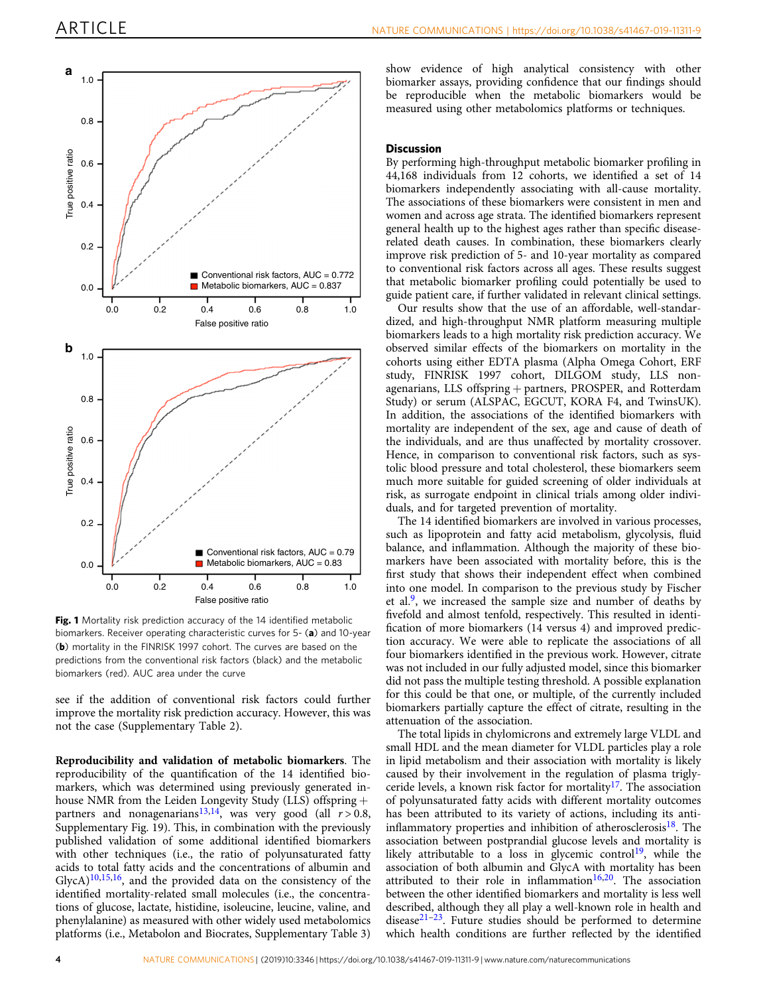<span id="page-3-0"></span>

Fig. 1 Mortality risk prediction accuracy of the 14 identified metabolic biomarkers. Receiver operating characteristic curves for 5- (a) and 10-year (b) mortality in the FINRISK 1997 cohort. The curves are based on the predictions from the conventional risk factors (black) and the metabolic biomarkers (red). AUC area under the curve

see if the addition of conventional risk factors could further improve the mortality risk prediction accuracy. However, this was not the case (Supplementary Table 2).

Reproducibility and validation of metabolic biomarkers. The reproducibility of the quantification of the 14 identified biomarkers, which was determined using previously generated inhouse NMR from the Leiden Longevity Study (LLS) offspring + partners and nonagenarians<sup>13,14</sup>, was very good (all  $r > 0.8$ , Supplementary Fig. 19). This, in combination with the previously published validation of some additional identified biomarkers with other techniques (i.e., the ratio of polyunsaturated fatty acids to total fatty acids and the concentrations of albumin and  $GlycA)$ <sup>10,15,16</sup>, and the provided data on the consistency of the identified mortality-related small molecules (i.e., the concentrations of glucose, lactate, histidine, isoleucine, leucine, valine, and phenylalanine) as measured with other widely used metabolomics platforms (i.e., Metabolon and Biocrates, Supplementary Table 3)

show evidence of high analytical consistency with other biomarker assays, providing confidence that our findings should be reproducible when the metabolic biomarkers would be measured using other metabolomics platforms or techniques.

# **Discussion**

By performing high-throughput metabolic biomarker profiling in 44,168 individuals from 12 cohorts, we identified a set of 14 biomarkers independently associating with all-cause mortality. The associations of these biomarkers were consistent in men and women and across age strata. The identified biomarkers represent general health up to the highest ages rather than specific diseaserelated death causes. In combination, these biomarkers clearly improve risk prediction of 5- and 10-year mortality as compared to conventional risk factors across all ages. These results suggest that metabolic biomarker profiling could potentially be used to guide patient care, if further validated in relevant clinical settings.

Our results show that the use of an affordable, well-standardized, and high-throughput NMR platform measuring multiple biomarkers leads to a high mortality risk prediction accuracy. We observed similar effects of the biomarkers on mortality in the cohorts using either EDTA plasma (Alpha Omega Cohort, ERF study, FINRISK 1997 cohort, DILGOM study, LLS nonagenarians, LLS offspring + partners, PROSPER, and Rotterdam Study) or serum (ALSPAC, EGCUT, KORA F4, and TwinsUK). In addition, the associations of the identified biomarkers with mortality are independent of the sex, age and cause of death of the individuals, and are thus unaffected by mortality crossover. Hence, in comparison to conventional risk factors, such as systolic blood pressure and total cholesterol, these biomarkers seem much more suitable for guided screening of older individuals at risk, as surrogate endpoint in clinical trials among older individuals, and for targeted prevention of mortality.

The 14 identified biomarkers are involved in various processes, such as lipoprotein and fatty acid metabolism, glycolysis, fluid balance, and inflammation. Although the majority of these biomarkers have been associated with mortality before, this is the first study that shows their independent effect when combined into one model. In comparison to the previous study by Fischer et al.<sup>9</sup>, we increased the sample size and number of deaths by fivefold and almost tenfold, respectively. This resulted in identification of more biomarkers (14 versus 4) and improved prediction accuracy. We were able to replicate the associations of all four biomarkers identified in the previous work. However, citrate was not included in our fully adjusted model, since this biomarker did not pass the multiple testing threshold. A possible explanation for this could be that one, or multiple, of the currently included biomarkers partially capture the effect of citrate, resulting in the attenuation of the association.

The total lipids in chylomicrons and extremely large VLDL and small HDL and the mean diameter for VLDL particles play a role in lipid metabolism and their association with mortality is likely caused by their involvement in the regulation of plasma triglyceride levels, a known risk factor for mortality<sup>17</sup>. The association of polyunsaturated fatty acids with different mortality outcomes has been attributed to its variety of actions, including its antiinflammatory properties and inhibition of atherosclerosis<sup>18</sup>. The association between postprandial glucose levels and mortality is likely attributable to a loss in glycemic control<sup>19</sup>, while the association of both albumin and GlycA with mortality has been attributed to their role in inflammation<sup>16,20</sup>. The association between the other identified biomarkers and mortality is less well described, although they all play a well-known role in health and disease $21-23$  $21-23$  $21-23$ . Future studies should be performed to determine which health conditions are further reflected by the identified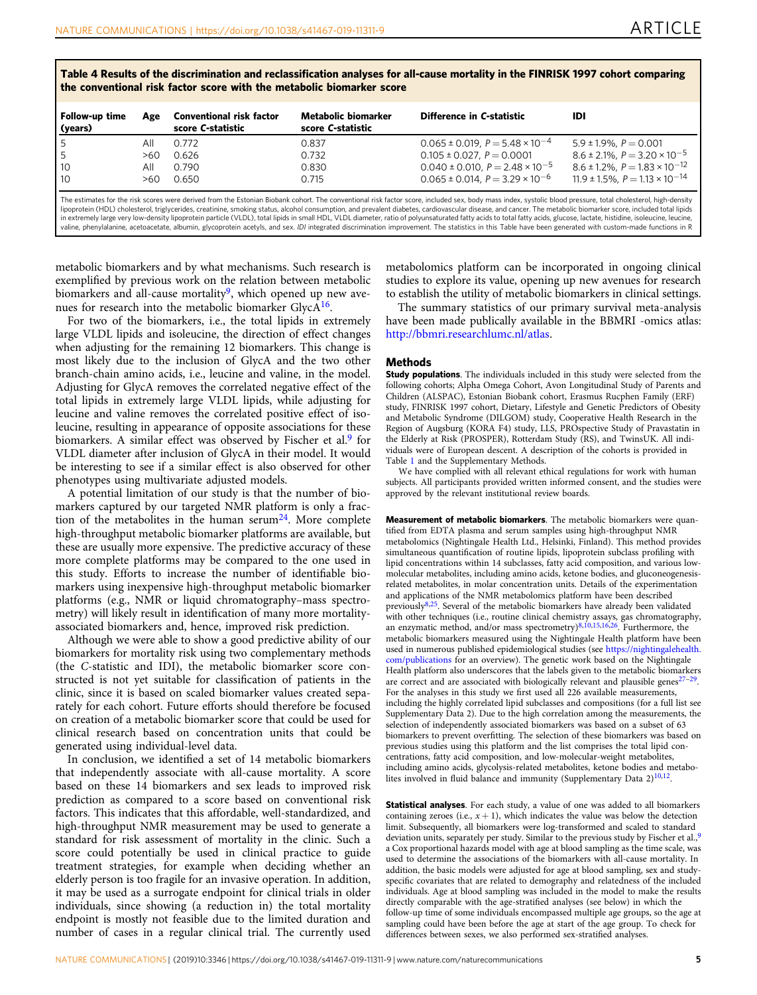| Follow-up time<br>(years) | Age | <b>Conventional risk factor</b><br>score C-statistic | Metabolic biomarker<br>score C-statistic | Difference in C-statistic                     | IDI                                           |
|---------------------------|-----|------------------------------------------------------|------------------------------------------|-----------------------------------------------|-----------------------------------------------|
| -5                        | All | 0.772                                                | 0.837                                    | $0.065 \pm 0.019$ , $P = 5.48 \times 10^{-4}$ | $5.9 \pm 1.9\%$ , $P = 0.001$                 |
| -5                        | >60 | 0.626                                                | 0.732                                    | $0.105 \pm 0.027$ , $P = 0.0001$              | $8.6 \pm 2.1\%$ , $P = 3.20 \times 10^{-5}$   |
| 10                        | All | 0.790                                                | 0.830                                    | $0.040 \pm 0.010$ , $P = 2.48 \times 10^{-5}$ | $8.6 \pm 1.2\%$ , $P = 1.83 \times 10^{-12}$  |
| 10                        | >60 | 0.650                                                | 0.715                                    | $0.065 \pm 0.014$ , $P = 3.29 \times 10^{-6}$ | $11.9 \pm 1.5\%$ , $P = 1.13 \times 10^{-14}$ |

<span id="page-4-0"></span>Table 4 Results of the discrimination and reclassification analyses for all-cause mortality in the FINRISK 1997 cohort comparing the conventional risk factor score with the metabolic biomarker score

The estimates for the risk scores were derived from the Estonian Biobank cohort. The conventional risk factor score, included sex, body mass index, systolic blood pressure, total cholesterol, high-density lipoprotein (HDL) cholesterol, triglycerides, creatinine, smoking status, alcohol consumption, and prevalent diabetes, cardiovascular disease, and cancer. The metabolic biomarker score, included total lipids in extremely large very low-density lipoprotein particle (VLDL), total lipids in small HDL, VLDL diameter, ratio of polyunsaturated fatty acids to total fatty acids, glucose, lactate, histidine, isoleucine, leucine, valine, phenylalanine, acetoacetate, albumin, glycoprotein acetyls, and sex. IDI integrated discrimination improvement. The statistics in this Table have been generated with custom-made functions in R

metabolic biomarkers and by what mechanisms. Such research is exemplified by previous work on the relation between metabolic biomarkers and all-cause mortality<sup>9</sup>, which opened up new avenues for research into the metabolic biomarker Glyc $A^{16}$ .

For two of the biomarkers, i.e., the total lipids in extremely large VLDL lipids and isoleucine, the direction of effect changes when adjusting for the remaining 12 biomarkers. This change is most likely due to the inclusion of GlycA and the two other branch-chain amino acids, i.e., leucine and valine, in the model. Adjusting for GlycA removes the correlated negative effect of the total lipids in extremely large VLDL lipids, while adjusting for leucine and valine removes the correlated positive effect of isoleucine, resulting in appearance of opposite associations for these biomarkers. A similar effect was observed by Fischer et al.<sup>9</sup> for VLDL diameter after inclusion of GlycA in their model. It would be interesting to see if a similar effect is also observed for other phenotypes using multivariate adjusted models.

A potential limitation of our study is that the number of biomarkers captured by our targeted NMR platform is only a fraction of the metabolites in the human serum<sup>24</sup>. More complete high-throughput metabolic biomarker platforms are available, but these are usually more expensive. The predictive accuracy of these more complete platforms may be compared to the one used in this study. Efforts to increase the number of identifiable biomarkers using inexpensive high-throughput metabolic biomarker platforms (e.g., NMR or liquid chromatography–mass spectrometry) will likely result in identification of many more mortalityassociated biomarkers and, hence, improved risk prediction.

Although we were able to show a good predictive ability of our biomarkers for mortality risk using two complementary methods (the C-statistic and IDI), the metabolic biomarker score constructed is not yet suitable for classification of patients in the clinic, since it is based on scaled biomarker values created separately for each cohort. Future efforts should therefore be focused on creation of a metabolic biomarker score that could be used for clinical research based on concentration units that could be generated using individual-level data.

In conclusion, we identified a set of 14 metabolic biomarkers that independently associate with all-cause mortality. A score based on these 14 biomarkers and sex leads to improved risk prediction as compared to a score based on conventional risk factors. This indicates that this affordable, well-standardized, and high-throughput NMR measurement may be used to generate a standard for risk assessment of mortality in the clinic. Such a score could potentially be used in clinical practice to guide treatment strategies, for example when deciding whether an elderly person is too fragile for an invasive operation. In addition, it may be used as a surrogate endpoint for clinical trials in older individuals, since showing (a reduction in) the total mortality endpoint is mostly not feasible due to the limited duration and number of cases in a regular clinical trial. The currently used

metabolomics platform can be incorporated in ongoing clinical studies to explore its value, opening up new avenues for research to establish the utility of metabolic biomarkers in clinical settings.

The summary statistics of our primary survival meta-analysis have been made publically available in the BBMRI -omics atlas: <http://bbmri.researchlumc.nl/atlas>.

# Methods

Study populations. The individuals included in this study were selected from the following cohorts; Alpha Omega Cohort, Avon Longitudinal Study of Parents and Children (ALSPAC), Estonian Biobank cohort, Erasmus Rucphen Family (ERF) study, FINRISK 1997 cohort, Dietary, Lifestyle and Genetic Predictors of Obesity and Metabolic Syndrome (DILGOM) study, Cooperative Health Research in the Region of Augsburg (KORA F4) study, LLS, PROspective Study of Pravastatin in the Elderly at Risk (PROSPER), Rotterdam Study (RS), and TwinsUK. All individuals were of European descent. A description of the cohorts is provided in Table [1](#page-1-0) and the Supplementary Methods.

We have complied with all relevant ethical regulations for work with human subjects. All participants provided written informed consent, and the studies were approved by the relevant institutional review boards.

Measurement of metabolic biomarkers. The metabolic biomarkers were quantified from EDTA plasma and serum samples using high-throughput NMR metabolomics (Nightingale Health Ltd., Helsinki, Finland). This method provides simultaneous quantification of routine lipids, lipoprotein subclass profiling with lipid concentrations within 14 subclasses, fatty acid composition, and various lowmolecular metabolites, including amino acids, ketone bodies, and gluconeogenesisrelated metabolites, in molar concentration units. Details of the experimentation and applications of the NMR metabolomics platform have been described previously<sup>8,[25](#page-5-0)</sup>. Several of the metabolic biomarkers have already been validated with other techniques (i.e., routine clinical chemistry assays, gas chromatography, an enzymatic method, and/or mass spectrometry)<sup>8,10,15,16,26</sup>. Furthermore, the metabolic biomarkers measured using the Nightingale Health platform have been used in numerous published epidemiological studies (see [https://nightingalehealth.](https://nightingalehealth.com/publications) [com/publications](https://nightingalehealth.com/publications) for an overview). The genetic work based on the Nightingale Health platform also underscores that the labels given to the metabolic biomarkers are correct and are associated with biologically relevant and plausible genes<sup>[27](#page-6-0)-2</sup>. For the analyses in this study we first used all 226 available measurements, including the highly correlated lipid subclasses and compositions (for a full list see Supplementary Data 2). Due to the high correlation among the measurements, the selection of independently associated biomarkers was based on a subset of 63 biomarkers to prevent overfitting. The selection of these biomarkers was based on previous studies using this platform and the list comprises the total lipid concentrations, fatty acid composition, and low-molecular-weight metabolites, including amino acids, glycolysis-related metabolites, ketone bodies and metabolites involved in fluid balance and immunity (Supplementary Data  $2)^{10,12}$  $2)^{10,12}$  $2)^{10,12}$  $2)^{10,12}$  $2)^{10,12}$ .

Statistical analyses. For each study, a value of one was added to all biomarkers containing zeroes (i.e.,  $x + 1$ ), which indicates the value was below the detection limit. Subsequently, all biomarkers were log-transformed and scaled to standard deviation units, separately per study. Similar to the previous study by Fischer et al.,<sup>[9](#page-5-0)</sup> a Cox proportional hazards model with age at blood sampling as the time scale, was used to determine the associations of the biomarkers with all-cause mortality. In addition, the basic models were adjusted for age at blood sampling, sex and studyspecific covariates that are related to demography and relatedness of the included individuals. Age at blood sampling was included in the model to make the results directly comparable with the age-stratified analyses (see below) in which the follow-up time of some individuals encompassed multiple age groups, so the age at sampling could have been before the age at start of the age group. To check for differences between sexes, we also performed sex-stratified analyses.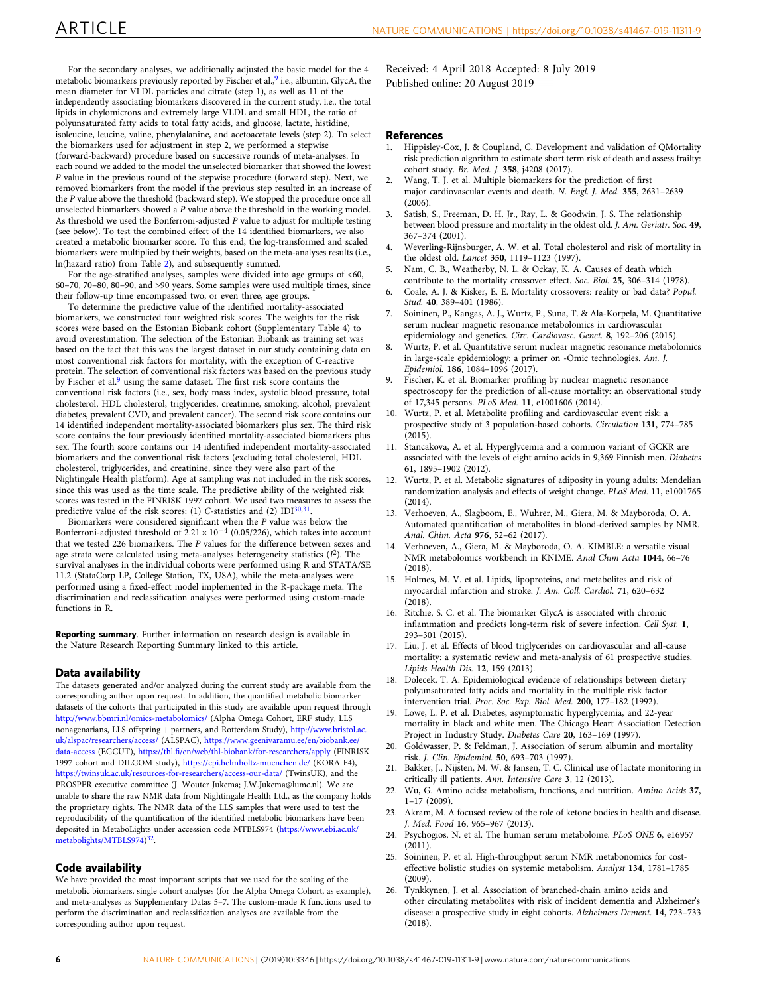<span id="page-5-0"></span>For the secondary analyses, we additionally adjusted the basic model for the 4 metabolic biomarkers previously reported by Fischer et al.,<sup>9</sup> i.e., albumin, GlycA, the mean diameter for VLDL particles and citrate (step 1), as well as 11 of the independently associating biomarkers discovered in the current study, i.e., the total lipids in chylomicrons and extremely large VLDL and small HDL, the ratio of polyunsaturated fatty acids to total fatty acids, and glucose, lactate, histidine, isoleucine, leucine, valine, phenylalanine, and acetoacetate levels (step 2). To select the biomarkers used for adjustment in step 2, we performed a stepwise (forward-backward) procedure based on successive rounds of meta-analyses. In each round we added to the model the unselected biomarker that showed the lowest P value in the previous round of the stepwise procedure (forward step). Next, we removed biomarkers from the model if the previous step resulted in an increase of the P value above the threshold (backward step). We stopped the procedure once all unselected biomarkers showed a P value above the threshold in the working model. As threshold we used the Bonferroni-adjusted P value to adjust for multiple testing (see below). To test the combined effect of the 14 identified biomarkers, we also created a metabolic biomarker score. To this end, the log-transformed and scaled biomarkers were multiplied by their weights, based on the meta-analyses results (i.e., ln(hazard ratio) from Table [2\)](#page-2-0), and subsequently summed.

For the age-stratified analyses, samples were divided into age groups of <60, 60–70, 70–80, 80–90, and >90 years. Some samples were used multiple times, since their follow-up time encompassed two, or even three, age groups.

To determine the predictive value of the identified mortality-associated biomarkers, we constructed four weighted risk scores. The weights for the risk scores were based on the Estonian Biobank cohort (Supplementary Table 4) to avoid overestimation. The selection of the Estonian Biobank as training set was based on the fact that this was the largest dataset in our study containing data on most conventional risk factors for mortality, with the exception of C-reactive protein. The selection of conventional risk factors was based on the previous study by Fischer et al.<sup>9</sup> using the same dataset. The first risk score contains the conventional risk factors (i.e., sex, body mass index, systolic blood pressure, total cholesterol, HDL cholesterol, triglycerides, creatinine, smoking, alcohol, prevalent diabetes, prevalent CVD, and prevalent cancer). The second risk score contains our 14 identified independent mortality-associated biomarkers plus sex. The third risk score contains the four previously identified mortality-associated biomarkers plus sex. The fourth score contains our 14 identified independent mortality-associated biomarkers and the conventional risk factors (excluding total cholesterol, HDL cholesterol, triglycerides, and creatinine, since they were also part of the Nightingale Health platform). Age at sampling was not included in the risk scores, since this was used as the time scale. The predictive ability of the weighted risk scores was tested in the FINRISK 1997 cohort. We used two measures to assess the predictive value of the risk scores: (1) C-statistics and (2)  $IDI<sup>30,31</sup>$  $IDI<sup>30,31</sup>$  $IDI<sup>30,31</sup>$ .

Biomarkers were considered significant when the P value was below the Bonferroni-adjusted threshold of  $2.21 \times 10^{-4}$  (0.05/226), which takes into account that we tested 226 biomarkers. The P values for the difference between sexes and age strata were calculated using meta-analyses heterogeneity statistics  $(I^2)$ . The survival analyses in the individual cohorts were performed using R and STATA/SE 11.2 (StataCorp LP, College Station, TX, USA), while the meta-analyses were performed using a fixed-effect model implemented in the R-package meta. The discrimination and reclassification analyses were performed using custom-made functions in R.

**Reporting summary.** Further information on research design is available in the Nature Research Reporting Summary linked to this article.

# Data availability

The datasets generated and/or analyzed during the current study are available from the corresponding author upon request. In addition, the quantified metabolic biomarker datasets of the cohorts that participated in this study are available upon request through <http://www.bbmri.nl/omics-metabolomics/> (Alpha Omega Cohort, ERF study, LLS nonagenarians, LLS offspring + partners, and Rotterdam Study), [http://www.bristol.ac.](http://www.bristol.ac.uk/alspac/researchers/access/) [uk/alspac/researchers/access/](http://www.bristol.ac.uk/alspac/researchers/access/) (ALSPAC), [https://www.geenivaramu.ee/en/biobank.ee/](https://www.geenivaramu.ee/en/biobank.ee/data-access) [data-access](https://www.geenivaramu.ee/en/biobank.ee/data-access) (EGCUT), https://thl.fi[/en/web/thl-biobank/for-researchers/apply](https://thl.fi/en/web/thl-biobank/for-researchers/apply) (FINRISK 1997 cohort and DILGOM study), <https://epi.helmholtz-muenchen.de/> (KORA F4), <https://twinsuk.ac.uk/resources-for-researchers/access-our-data/> (TwinsUK), and the PROSPER executive committee (J. Wouter Jukema; J.W.Jukema@lumc.nl). We are unable to share the raw NMR data from Nightingale Health Ltd., as the company holds the proprietary rights. The NMR data of the LLS samples that were used to test the reproducibility of the quantification of the identified metabolic biomarkers have been deposited in MetaboLights under accession code MTBLS974 ([https://www.ebi.ac.uk/](https://www.ebi.ac.uk/metabolights/MTBLS974) [metabolights/MTBLS974](https://www.ebi.ac.uk/metabolights/MTBLS974))<sup>[32](#page-6-0)</sup>.

# Code availability

We have provided the most important scripts that we used for the scaling of the metabolic biomarkers, single cohort analyses (for the Alpha Omega Cohort, as example), and meta-analyses as Supplementary Datas 5–7. The custom-made R functions used to perform the discrimination and reclassification analyses are available from the corresponding author upon request.

Received: 4 April 2018 Accepted: 8 July 2019

### References

- 1. Hippisley-Cox, J. & Coupland, C. Development and validation of QMortality risk prediction algorithm to estimate short term risk of death and assess frailty: cohort study. Br. Med. J. 358, j4208 (2017).
- 2. Wang, T. J. et al. Multiple biomarkers for the prediction of first major cardiovascular events and death. N. Engl. J. Med. 355, 2631–2639  $(2006)$ .
- 3. Satish, S., Freeman, D. H. Jr., Ray, L. & Goodwin, J. S. The relationship between blood pressure and mortality in the oldest old. J. Am. Geriatr. Soc. 49, 367–374 (2001).
- 4. Weverling-Rijnsburger, A. W. et al. Total cholesterol and risk of mortality in the oldest old. Lancet 350, 1119–1123 (1997).
- Nam, C. B., Weatherby, N. L. & Ockay, K. A. Causes of death which contribute to the mortality crossover effect. Soc. Biol. 25, 306–314 (1978).
- 6. Coale, A. J. & Kisker, E. E. Mortality crossovers: reality or bad data? Popul. Stud. 40, 389–401 (1986).
- 7. Soininen, P., Kangas, A. J., Wurtz, P., Suna, T. & Ala-Korpela, M. Quantitative serum nuclear magnetic resonance metabolomics in cardiovascular epidemiology and genetics. Circ. Cardiovasc. Genet. 8, 192–206 (2015).
- 8. Wurtz, P. et al. Quantitative serum nuclear magnetic resonance metabolomics in large-scale epidemiology: a primer on -Omic technologies. Am. J. Epidemiol. 186, 1084–1096 (2017).
- 9. Fischer, K. et al. Biomarker profiling by nuclear magnetic resonance spectroscopy for the prediction of all-cause mortality: an observational study of 17,345 persons. PLoS Med. 11, e1001606 (2014).
- 10. Wurtz, P. et al. Metabolite profiling and cardiovascular event risk: a prospective study of 3 population-based cohorts. Circulation 131, 774–785  $(2015)$ .
- 11. Stancakova, A. et al. Hyperglycemia and a common variant of GCKR are associated with the levels of eight amino acids in 9,369 Finnish men. Diabetes 61, 1895–1902 (2012).
- 12. Wurtz, P. et al. Metabolic signatures of adiposity in young adults: Mendelian randomization analysis and effects of weight change. PLoS Med. 11, e1001765  $(2014)$
- 13. Verhoeven, A., Slagboom, E., Wuhrer, M., Giera, M. & Mayboroda, O. A. Automated quantification of metabolites in blood-derived samples by NMR. Anal. Chim. Acta 976, 52–62 (2017).
- 14. Verhoeven, A., Giera, M. & Mayboroda, O. A. KIMBLE: a versatile visual NMR metabolomics workbench in KNIME. Anal Chim Acta 1044, 66–76 (2018).
- 15. Holmes, M. V. et al. Lipids, lipoproteins, and metabolites and risk of myocardial infarction and stroke. J. Am. Coll. Cardiol. 71, 620–632 (2018).
- 16. Ritchie, S. C. et al. The biomarker GlycA is associated with chronic inflammation and predicts long-term risk of severe infection. Cell Syst. 1, 293–301 (2015).
- 17. Liu, J. et al. Effects of blood triglycerides on cardiovascular and all-cause mortality: a systematic review and meta-analysis of 61 prospective studies. Lipids Health Dis. 12, 159 (2013).
- 18. Dolecek, T. A. Epidemiological evidence of relationships between dietary polyunsaturated fatty acids and mortality in the multiple risk factor intervention trial. Proc. Soc. Exp. Biol. Med. 200, 177–182 (1992).
- 19. Lowe, L. P. et al. Diabetes, asymptomatic hyperglycemia, and 22-year mortality in black and white men. The Chicago Heart Association Detection Project in Industry Study. Diabetes Care 20, 163–169 (1997).
- 20. Goldwasser, P. & Feldman, J. Association of serum albumin and mortality risk. J. Clin. Epidemiol. 50, 693–703 (1997).
- 21. Bakker, J., Nijsten, M. W. & Jansen, T. C. Clinical use of lactate monitoring in critically ill patients. Ann. Intensive Care 3, 12 (2013).
- 22. Wu, G. Amino acids: metabolism, functions, and nutrition. Amino Acids 37, 1–17 (2009).
- 23. Akram, M. A focused review of the role of ketone bodies in health and disease. J. Med. Food 16, 965–967 (2013).
- 24. Psychogios, N. et al. The human serum metabolome. PLoS ONE 6, e16957 (2011).
- 25. Soininen, P. et al. High-throughput serum NMR metabonomics for costeffective holistic studies on systemic metabolism. Analyst 134, 1781–1785 (2009).
- 26. Tynkkynen, J. et al. Association of branched-chain amino acids and other circulating metabolites with risk of incident dementia and Alzheimer's disease: a prospective study in eight cohorts. Alzheimers Dement. 14, 723–733 (2018).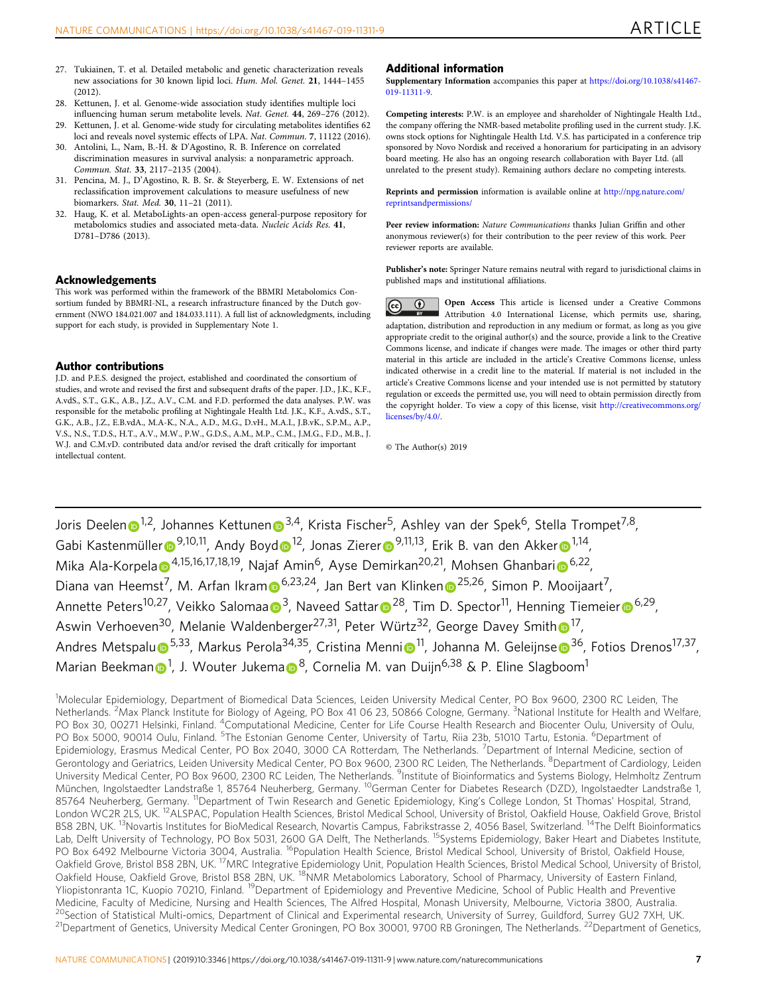- <span id="page-6-0"></span>27. Tukiainen, T. et al. Detailed metabolic and genetic characterization reveals new associations for 30 known lipid loci. Hum. Mol. Genet. 21, 1444–1455 (2012).
- 28. Kettunen, J. et al. Genome-wide association study identifies multiple loci influencing human serum metabolite levels. Nat. Genet. 44, 269–276 (2012).
- 29. Kettunen, J. et al. Genome-wide study for circulating metabolites identifies 62 loci and reveals novel systemic effects of LPA. Nat. Commun. 7, 11122 (2016).
- 30. Antolini, L., Nam, B.-H. & D'Agostino, R. B. Inference on correlated discrimination measures in survival analysis: a nonparametric approach. Commun. Stat. 33, 2117–2135 (2004).
- 31. Pencina, M. J., D'Agostino, R. B. Sr. & Steyerberg, E. W. Extensions of net reclassification improvement calculations to measure usefulness of new biomarkers. Stat. Med. 30, 11–21 (2011).
- 32. Haug, K. et al. MetaboLights-an open-access general-purpose repository for metabolomics studies and associated meta-data. Nucleic Acids Res. 41, D781–D786 (2013).

# Acknowledgements

This work was performed within the framework of the BBMRI Metabolomics Consortium funded by BBMRI-NL, a research infrastructure financed by the Dutch government (NWO 184.021.007 and 184.033.111). A full list of acknowledgments, including support for each study, is provided in Supplementary Note 1.

# Author contributions

J.D. and P.E.S. designed the project, established and coordinated the consortium of studies, and wrote and revised the first and subsequent drafts of the paper. J.D., J.K., K.F., A.vdS., S.T., G.K., A.B., J.Z., A.V., C.M. and F.D. performed the data analyses. P.W. was responsible for the metabolic profiling at Nightingale Health Ltd. J.K., K.F., A.vdS., S.T., G.K., A.B., J.Z., E.B.vdA., M.A-K., N.A., A.D., M.G., D.vH., M.A.I., J.B.vK., S.P.M., A.P., V.S., N.S., T.D.S., H.T., A.V., M.W., P.W., G.D.S., A.M., M.P., C.M., J.M.G., F.D., M.B., J. W.J. and C.M.vD. contributed data and/or revised the draft critically for important intellectual content.

# Additional information

Supplementary Information accompanies this paper at [https://doi.org/10.1038/s41467-](https://doi.org/10.1038/s41467-019-11311-9) [019-11311-9.](https://doi.org/10.1038/s41467-019-11311-9)

Competing interests: P.W. is an employee and shareholder of Nightingale Health Ltd., the company offering the NMR-based metabolite profiling used in the current study. J.K. owns stock options for Nightingale Health Ltd. V.S. has participated in a conference trip sponsored by Novo Nordisk and received a honorarium for participating in an advisory board meeting. He also has an ongoing research collaboration with Bayer Ltd. (all unrelated to the present study). Remaining authors declare no competing interests.

Reprints and permission information is available online at [http://npg.nature.com/](http://npg.nature.com/reprintsandpermissions/) [reprintsandpermissions/](http://npg.nature.com/reprintsandpermissions/)

Peer review information: Nature Communications thanks Julian Griffin and other anonymous reviewer(s) for their contribution to the peer review of this work. Peer reviewer reports are available.

Publisher's note: Springer Nature remains neutral with regard to jurisdictional claims in published maps and institutional affiliations.

Open Access This article is licensed under a Creative Commons  $\odot$  $\left[\mathrm{G}\right]$ Attribution 4.0 International License, which permits use, sharing, adaptation, distribution and reproduction in any medium or format, as long as you give appropriate credit to the original author(s) and the source, provide a link to the Creative Commons license, and indicate if changes were made. The images or other third party material in this article are included in the article's Creative Commons license, unless indicated otherwise in a credit line to the material. If material is not included in the article's Creative Commons license and your intended use is not permitted by statutory regulation or exceeds the permitted use, you will need to obtain permission directly from the copyright holder. To view a copy of this license, visit [http://creativecommons.org/](http://creativecommons.org/licenses/by/4.0/) [licenses/by/4.0/](http://creativecommons.org/licenses/by/4.0/).

© The Author(s) 2019

Joris Deele[n](http://orcid.org/0000-0002-3345-491X)  $\bullet^{1,2}$  $\bullet^{1,2}$  $\bullet^{1,2}$ , Johannes Kettunen  $\bullet^{3,4}$  $\bullet^{3,4}$  $\bullet^{3,4}$ , Krista Fischer<sup>5</sup>, Ashley van der Spek<sup>6</sup>, Stella Trompet<sup>7,8</sup>, Gabi Kastenmülle[r](http://orcid.org/0000-0002-7693-0728)  $\bullet^{9,10,11}$ , An[d](http://orcid.org/0000-0002-8614-3728)y Boyd  $\bullet^{12}$ , Jonas Zierer  $\bullet^{9,11,13}$ , Erik B. van den Akker  $\bullet^{1,14}$ , Mik[a](http://orcid.org/0000-0001-5905-1206) Ala-Korpela  $\bullet^{4,15,16,17,18,19}$  $\bullet^{4,15,16,17,18,19}$  $\bullet^{4,15,16,17,18,19}$ , Najaf Am[i](http://orcid.org/0000-0002-9476-7143)n<sup>6</sup>, Ayse Demirkan<sup>20,21</sup>, Mohsen Ghanbari  $\bullet^{6,22}$ , Diana van Hee[m](http://orcid.org/0000-0003-0372-8585)st<sup>7</sup>, M. Arfa[n](http://orcid.org/0000-0002-9855-3548) Ikram 6, 6, [2](http://orcid.org/0000-0002-9855-3548)3, 24, Jan Bert van Klinken 6, <sup>25, 26</sup>, Simon P. Mooijaart<sup>7</sup>, Annette Peters<sup>10,27</sup>, Veikko S[a](http://orcid.org/0000-0001-7563-5324)lomaa <sup>3</sup>, Naveed Satta[r](http://orcid.org/0000-0002-4395-1397) <sup>[2](http://orcid.org/0000-0002-1604-2593)8</sup>, Tim D. Spector<sup>11</sup>, Henning Tiemeier <sup>6,29</sup>, Aswin Ver[h](http://orcid.org/0000-0002-1407-8314)oeven<sup>30</sup>, Melanie Waldenberger<sup>27,31</sup>, Peter Würtz<sup>32</sup>, George Davey Smith  $\bullet$ <sup>17</sup>, Andres Metspal[u](http://orcid.org/0000-0002-3718-796X)  $\mathbb{D}^{5,33}$  $\mathbb{D}^{5,33}$  $\mathbb{D}^{5,33}$ , Markus Perola<sup>34,35</sup>, Cristina Men[ni](http://orcid.org/0000-0001-9790-0571)  $\mathbb{D}^{11}$  $\mathbb{D}^{11}$  $\mathbb{D}^{11}$ , Johanna M. G[e](http://orcid.org/0000-0001-7638-0589)leijnse  $\mathbb{D}^{36}$ , Fotios Drenos<sup>17,37</sup>, Maria[n](http://orcid.org/0000-0003-0585-6206) Beekm[a](http://orcid.org/0000-0002-3246-8359)n 1, J. Wouter Jukema 18, Cornelia M. van Duijn<sup>6,38</sup> & P. Eline Slagboom<sup>1</sup>

1 Molecular Epidemiology, Department of Biomedical Data Sciences, Leiden University Medical Center, PO Box 9600, 2300 RC Leiden, The Netherlands. <sup>2</sup>Max Planck Institute for Biology of Ageing, PO Box 41 06 23, 50866 Cologne, Germany. <sup>3</sup>National Institute for Health and Welfare, PO Box 30, 00271 Helsinki, Finland. <sup>4</sup>Computational Medicine, Center for Life Course Health Research and Biocenter Oulu, University of Oulu, PO Box 5000, 90014 Oulu, Finland. <sup>5</sup>The Estonian Genome Center, University of Tartu, Riia 23b, 51010 Tartu, Estonia. <sup>6</sup>Department of Epidemiology, Erasmus Medical Center, PO Box 2040, 3000 CA Rotterdam, The Netherlands. <sup>7</sup>Department of Internal Medicine, section of Gerontology and Geriatrics, Leiden University Medical Center, PO Box 9600, 2300 RC Leiden, The Netherlands. <sup>8</sup>Department of Cardiology, Leiden University Medical Center, PO Box 9600, 2300 RC Leiden, The Netherlands. <sup>9</sup>Institute of Bioinformatics and Systems Biology, Helmholtz Zentrum München, Ingolstaedter Landstraße 1, 85764 Neuherberg, Germany. <sup>10</sup>German Center for Diabetes Research (DZD), Ingolstaedter Landstraße 1, 85764 Neuherberg, Germany. <sup>11</sup>Department of Twin Research and Genetic Epidemiology, King's College London, St Thomas' Hospital, Strand, London WC2R 2LS, UK.<sup>12</sup>ALSPAC, Population Health Sciences, Bristol Medical School, University of Bristol, Oakfield House, Oakfield Grove, Bristol BS8 2BN, UK. <sup>13</sup>Novartis Institutes for BioMedical Research, Novartis Campus, Fabrikstrasse 2, 4056 Basel, Switzerland. <sup>14</sup>The Delft Bioinformatics Lab, Delft University of Technology, PO Box 5031, 2600 GA Delft, The Netherlands. <sup>15</sup>Systems Epidemiology, Baker Heart and Diabetes Institute, PO Box 6492 Melbourne Victoria 3004, Australia. <sup>16</sup>Population Health Science, Bristol Medical School, University of Bristol, Oakfield House, Oakfield Grove, Bristol BS8 2BN, UK.<sup>17</sup>MRC Integrative Epidemiology Unit, Population Health Sciences, Bristol Medical School, University of Bristol, Oakfield House, Oakfield Grove, Bristol BS8 2BN, UK. <sup>18</sup>NMR Metabolomics Laboratory, School of Pharmacy, University of Eastern Finland, Yliopistonranta 1C, Kuopio 70210, Finland. <sup>19</sup>Department of Epidemiology and Preventive Medicine, School of Public Health and Preventive Medicine, Faculty of Medicine, Nursing and Health Sciences, The Alfred Hospital, Monash University, Melbourne, Victoria 3800, Australia.<br><sup>20</sup>Section of Statistical Multi-omics, Department of Clinical and Experimental resea <sup>21</sup>Department of Genetics, University Medical Center Groningen, PO Box 30001, 9700 RB Groningen, The Netherlands. <sup>22</sup>Department of Genetics,